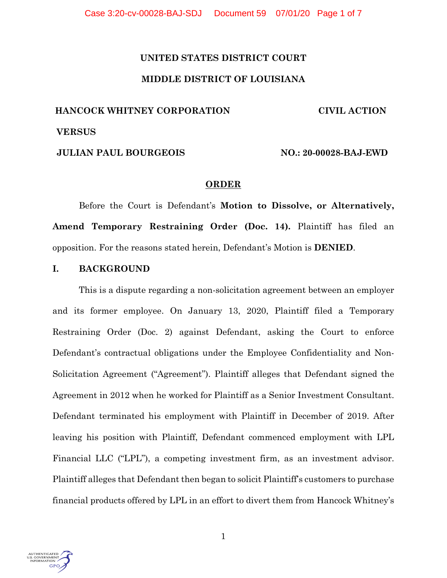# **UNITED STATES DISTRICT COURT MIDDLE DISTRICT OF LOUISIANA**

# **HANCOCK WHITNEY CORPORATION CIVIL ACTION VERSUS JULIAN PAUL BOURGEOIS** NO.: 20-00028-BAJ-EWD

# **ORDER**

Before the Court is Defendant's **Motion to Dissolve, or Alternatively, Amend Temporary Restraining Order (Doc. 14).** Plaintiff has filed an opposition. For the reasons stated herein, Defendant's Motion is **DENIED**.

# **I. BACKGROUND**

This is a dispute regarding a non-solicitation agreement between an employer and its former employee. On January 13, 2020, Plaintiff filed a Temporary Restraining Order (Doc. 2) against Defendant, asking the Court to enforce Defendant's contractual obligations under the Employee Confidentiality and Non-Solicitation Agreement ("Agreement"). Plaintiff alleges that Defendant signed the Agreement in 2012 when he worked for Plaintiff as a Senior Investment Consultant. Defendant terminated his employment with Plaintiff in December of 2019. After leaving his position with Plaintiff, Defendant commenced employment with LPL Financial LLC ("LPL"), a competing investment firm, as an investment advisor. Plaintiff alleges that Defendant then began to solicit Plaintiff's customers to purchase financial products offered by LPL in an effort to divert them from Hancock Whitney's

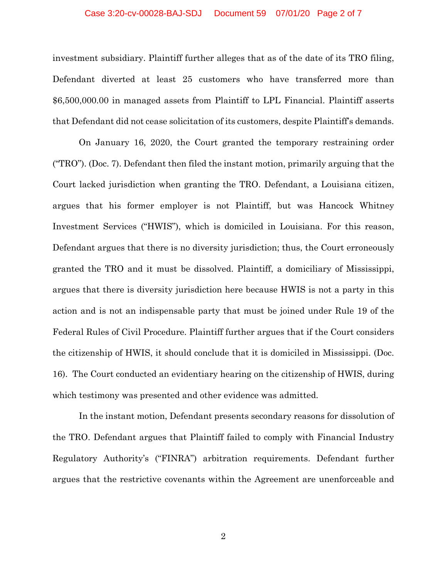#### Case 3:20-cv-00028-BAJ-SDJ Document 59 07/01/20 Page 2 of 7

investment subsidiary. Plaintiff further alleges that as of the date of its TRO filing, Defendant diverted at least 25 customers who have transferred more than \$6,500,000.00 in managed assets from Plaintiff to LPL Financial. Plaintiff asserts that Defendant did not cease solicitation of its customers, despite Plaintiff's demands.

On January 16, 2020, the Court granted the temporary restraining order ("TRO"). (Doc. 7). Defendant then filed the instant motion, primarily arguing that the Court lacked jurisdiction when granting the TRO. Defendant, a Louisiana citizen, argues that his former employer is not Plaintiff, but was Hancock Whitney Investment Services ("HWIS"), which is domiciled in Louisiana. For this reason, Defendant argues that there is no diversity jurisdiction; thus, the Court erroneously granted the TRO and it must be dissolved. Plaintiff, a domiciliary of Mississippi, argues that there is diversity jurisdiction here because HWIS is not a party in this action and is not an indispensable party that must be joined under Rule 19 of the Federal Rules of Civil Procedure. Plaintiff further argues that if the Court considers the citizenship of HWIS, it should conclude that it is domiciled in Mississippi. (Doc. 16). The Court conducted an evidentiary hearing on the citizenship of HWIS, during which testimony was presented and other evidence was admitted.

In the instant motion, Defendant presents secondary reasons for dissolution of the TRO. Defendant argues that Plaintiff failed to comply with Financial Industry Regulatory Authority's ("FINRA") arbitration requirements. Defendant further argues that the restrictive covenants within the Agreement are unenforceable and

2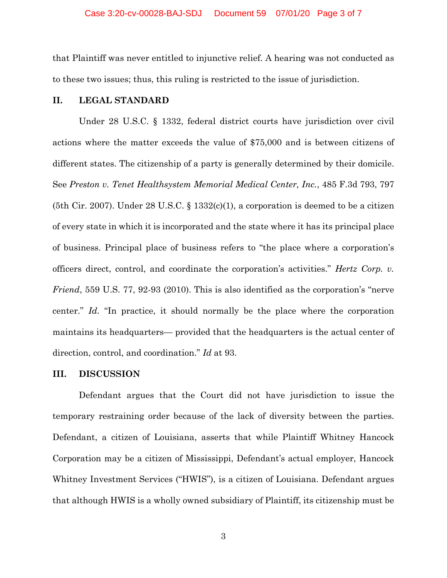that Plaintiff was never entitled to injunctive relief. A hearing was not conducted as to these two issues; thus, this ruling is restricted to the issue of jurisdiction.

### **II. LEGAL STANDARD**

Under 28 U.S.C. § 1332, federal district courts have jurisdiction over civil actions where the matter exceeds the value of \$75,000 and is between citizens of different states. The citizenship of a party is generally determined by their domicile. See *Preston v. Tenet Healthsystem Memorial Medical Center, Inc.*, 485 F.3d 793, 797 (5th Cir. 2007). Under 28 U.S.C. § 1332(c)(1), a corporation is deemed to be a citizen of every state in which it is incorporated and the state where it has its principal place of business. Principal place of business refers to "the place where a corporation's officers direct, control, and coordinate the corporation's activities." *Hertz Corp. v. Friend*, 559 U.S. 77, 92-93 (2010). This is also identified as the corporation's "nerve center." *Id.* "In practice, it should normally be the place where the corporation maintains its headquarters— provided that the headquarters is the actual center of direction, control, and coordination." *Id* at 93.

### **III. DISCUSSION**

Defendant argues that the Court did not have jurisdiction to issue the temporary restraining order because of the lack of diversity between the parties. Defendant, a citizen of Louisiana, asserts that while Plaintiff Whitney Hancock Corporation may be a citizen of Mississippi, Defendant's actual employer, Hancock Whitney Investment Services ("HWIS"), is a citizen of Louisiana. Defendant argues that although HWIS is a wholly owned subsidiary of Plaintiff, its citizenship must be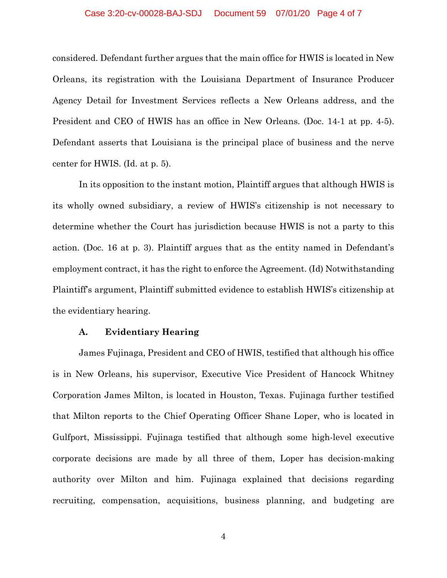#### Case 3:20-cv-00028-BAJ-SDJ Document 59 07/01/20 Page 4 of 7

considered. Defendant further argues that the main office for HWIS is located in New Orleans, its registration with the Louisiana Department of Insurance Producer Agency Detail for Investment Services reflects a New Orleans address, and the President and CEO of HWIS has an office in New Orleans. (Doc. 14-1 at pp. 4-5). Defendant asserts that Louisiana is the principal place of business and the nerve center for HWIS. (Id. at p. 5).

In its opposition to the instant motion, Plaintiff argues that although HWIS is its wholly owned subsidiary, a review of HWIS's citizenship is not necessary to determine whether the Court has jurisdiction because HWIS is not a party to this action. (Doc. 16 at p. 3). Plaintiff argues that as the entity named in Defendant's employment contract, it has the right to enforce the Agreement. (Id) Notwithstanding Plaintiff's argument, Plaintiff submitted evidence to establish HWIS's citizenship at the evidentiary hearing.

#### **A. Evidentiary Hearing**

James Fujinaga, President and CEO of HWIS, testified that although his office is in New Orleans, his supervisor, Executive Vice President of Hancock Whitney Corporation James Milton, is located in Houston, Texas. Fujinaga further testified that Milton reports to the Chief Operating Officer Shane Loper, who is located in Gulfport, Mississippi. Fujinaga testified that although some high-level executive corporate decisions are made by all three of them, Loper has decision-making authority over Milton and him. Fujinaga explained that decisions regarding recruiting, compensation, acquisitions, business planning, and budgeting are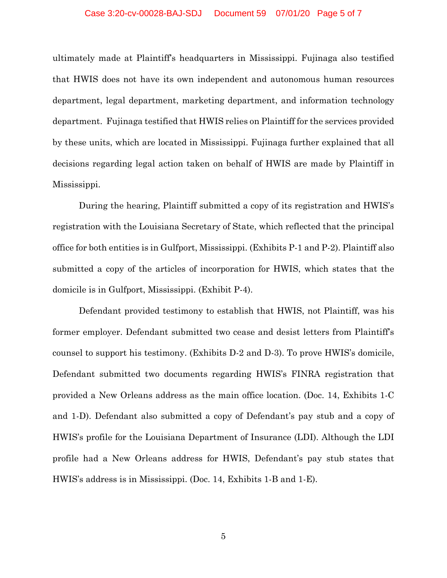#### Case 3:20-cv-00028-BAJ-SDJ Document 59 07/01/20 Page 5 of 7

ultimately made at Plaintiff's headquarters in Mississippi. Fujinaga also testified that HWIS does not have its own independent and autonomous human resources department, legal department, marketing department, and information technology department. Fujinaga testified that HWIS relies on Plaintiff for the services provided by these units, which are located in Mississippi. Fujinaga further explained that all decisions regarding legal action taken on behalf of HWIS are made by Plaintiff in Mississippi.

During the hearing, Plaintiff submitted a copy of its registration and HWIS's registration with the Louisiana Secretary of State, which reflected that the principal office for both entities is in Gulfport, Mississippi. (Exhibits P-1 and P-2). Plaintiff also submitted a copy of the articles of incorporation for HWIS, which states that the domicile is in Gulfport, Mississippi. (Exhibit P-4).

Defendant provided testimony to establish that HWIS, not Plaintiff, was his former employer. Defendant submitted two cease and desist letters from Plaintiff's counsel to support his testimony. (Exhibits D-2 and D-3). To prove HWIS's domicile, Defendant submitted two documents regarding HWIS's FINRA registration that provided a New Orleans address as the main office location. (Doc. 14, Exhibits 1-C and 1-D). Defendant also submitted a copy of Defendant's pay stub and a copy of HWIS's profile for the Louisiana Department of Insurance (LDI). Although the LDI profile had a New Orleans address for HWIS, Defendant's pay stub states that HWIS's address is in Mississippi. (Doc. 14, Exhibits 1-B and 1-E).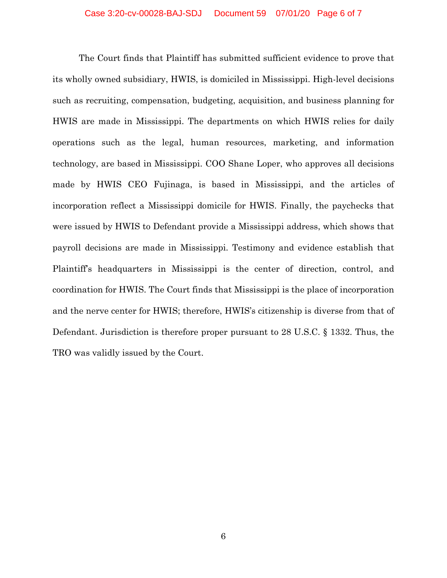The Court finds that Plaintiff has submitted sufficient evidence to prove that its wholly owned subsidiary, HWIS, is domiciled in Mississippi. High-level decisions such as recruiting, compensation, budgeting, acquisition, and business planning for HWIS are made in Mississippi. The departments on which HWIS relies for daily operations such as the legal, human resources, marketing, and information technology, are based in Mississippi. COO Shane Loper, who approves all decisions made by HWIS CEO Fujinaga, is based in Mississippi, and the articles of incorporation reflect a Mississippi domicile for HWIS. Finally, the paychecks that were issued by HWIS to Defendant provide a Mississippi address, which shows that payroll decisions are made in Mississippi. Testimony and evidence establish that Plaintiff's headquarters in Mississippi is the center of direction, control, and coordination for HWIS. The Court finds that Mississippi is the place of incorporation and the nerve center for HWIS; therefore, HWIS's citizenship is diverse from that of Defendant. Jurisdiction is therefore proper pursuant to 28 U.S.C. § 1332. Thus, the TRO was validly issued by the Court.